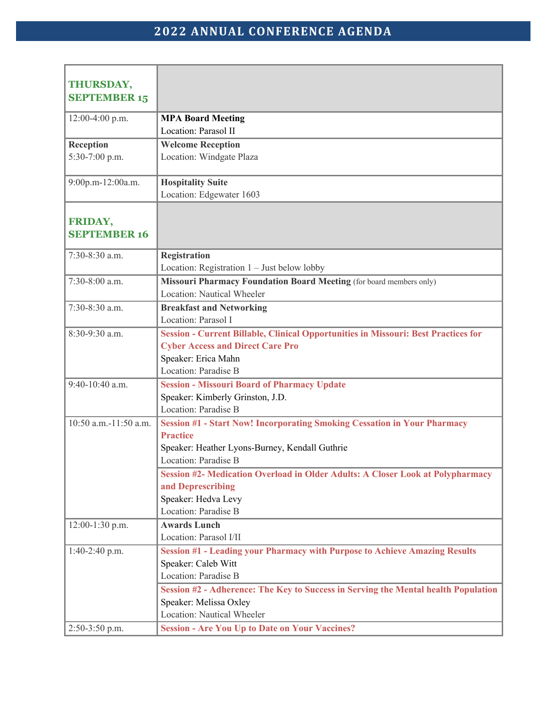| <b>THURSDAY,</b>               |                                                                                                   |
|--------------------------------|---------------------------------------------------------------------------------------------------|
| <b>SEPTEMBER 15</b>            |                                                                                                   |
| 12:00-4:00 p.m.                | <b>MPA Board Meeting</b>                                                                          |
|                                | Location: Parasol II                                                                              |
| Reception                      | <b>Welcome Reception</b>                                                                          |
| 5:30-7:00 p.m.                 | Location: Windgate Plaza                                                                          |
| 9:00p.m-12:00a.m.              | <b>Hospitality Suite</b><br>Location: Edgewater 1603                                              |
| FRIDAY,<br><b>SEPTEMBER 16</b> |                                                                                                   |
|                                |                                                                                                   |
| 7:30-8:30 a.m.                 | <b>Registration</b>                                                                               |
|                                | Location: Registration $1 -$ Just below lobby                                                     |
| 7:30-8:00 a.m.                 | Missouri Pharmacy Foundation Board Meeting (for board members only)<br>Location: Nautical Wheeler |
| 7:30-8:30 a.m.                 | <b>Breakfast and Networking</b>                                                                   |
|                                | Location: Parasol I                                                                               |
| 8:30-9:30 a.m.                 | <b>Session - Current Billable, Clinical Opportunities in Missouri: Best Practices for</b>         |
|                                | <b>Cyber Access and Direct Care Pro</b>                                                           |
|                                | Speaker: Erica Mahn                                                                               |
|                                | Location: Paradise B                                                                              |
| 9:40-10:40 a.m.                | <b>Session - Missouri Board of Pharmacy Update</b>                                                |
|                                | Speaker: Kimberly Grinston, J.D.                                                                  |
|                                | Location: Paradise B                                                                              |
| 10:50 a.m.-11:50 a.m.          | <b>Session #1 - Start Now! Incorporating Smoking Cessation in Your Pharmacy</b>                   |
|                                | <b>Practice</b>                                                                                   |
|                                | Speaker: Heather Lyons-Burney, Kendall Guthrie                                                    |
|                                | Location: Paradise B                                                                              |
|                                | <b>Session #2- Medication Overload in Older Adults: A Closer Look at Polypharmacy</b>             |
|                                | and Deprescribing                                                                                 |
|                                | Speaker: Hedva Levy                                                                               |
|                                | Location: Paradise B                                                                              |
| 12:00-1:30 p.m.                | <b>Awards Lunch</b>                                                                               |
|                                | Location: Parasol I/II                                                                            |
| 1:40-2:40 p.m.                 | <b>Session #1 - Leading your Pharmacy with Purpose to Achieve Amazing Results</b>                 |
|                                | Speaker: Caleb Witt                                                                               |
|                                | Location: Paradise B                                                                              |
|                                | Session #2 - Adherence: The Key to Success in Serving the Mental health Population                |
|                                | Speaker: Melissa Oxley                                                                            |
|                                | Location: Nautical Wheeler                                                                        |
| 2:50-3:50 p.m.                 | <b>Session - Are You Up to Date on Your Vaccines?</b>                                             |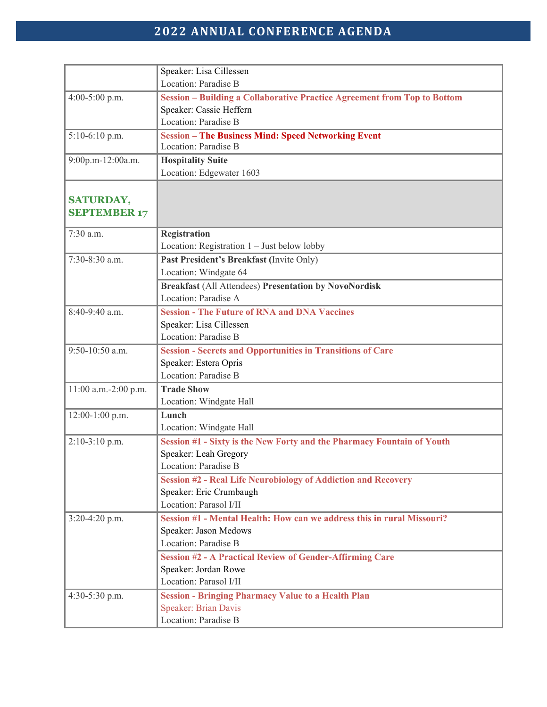## **2022 ANNUAL CONFERENCE AGENDA**

|                      | Speaker: Lisa Cillessen                                                         |
|----------------------|---------------------------------------------------------------------------------|
|                      | Location: Paradise B                                                            |
| 4:00-5:00 p.m.       | <b>Session - Building a Collaborative Practice Agreement from Top to Bottom</b> |
|                      | Speaker: Cassie Heffern                                                         |
|                      | Location: Paradise B                                                            |
| $5:10-6:10$ p.m.     | <b>Session - The Business Mind: Speed Networking Event</b>                      |
|                      | Location: Paradise B                                                            |
| 9:00p.m-12:00a.m.    | <b>Hospitality Suite</b>                                                        |
|                      | Location: Edgewater 1603                                                        |
|                      |                                                                                 |
| <b>SATURDAY,</b>     |                                                                                 |
| <b>SEPTEMBER 17</b>  |                                                                                 |
| 7:30 a.m.            | <b>Registration</b>                                                             |
|                      | Location: Registration $1 -$ Just below lobby                                   |
| 7:30-8:30 a.m.       | Past President's Breakfast (Invite Only)                                        |
|                      | Location: Windgate 64                                                           |
|                      | <b>Breakfast (All Attendees) Presentation by NovoNordisk</b>                    |
|                      | Location: Paradise A                                                            |
| 8:40-9:40 a.m.       | <b>Session - The Future of RNA and DNA Vaccines</b>                             |
|                      | Speaker: Lisa Cillessen                                                         |
|                      | Location: Paradise B                                                            |
| 9:50-10:50 a.m.      | <b>Session - Secrets and Opportunities in Transitions of Care</b>               |
|                      | Speaker: Estera Opris                                                           |
|                      | Location: Paradise B                                                            |
| 11:00 a.m.-2:00 p.m. | <b>Trade Show</b>                                                               |
|                      | Location: Windgate Hall                                                         |
| 12:00-1:00 p.m.      | Lunch                                                                           |
|                      | Location: Windgate Hall                                                         |
| $2:10-3:10$ p.m.     | Session #1 - Sixty is the New Forty and the Pharmacy Fountain of Youth          |
|                      | Speaker: Leah Gregory                                                           |
|                      | Location: Paradise B                                                            |
|                      | <b>Session #2 - Real Life Neurobiology of Addiction and Recovery</b>            |
|                      | Speaker: Eric Crumbaugh                                                         |
|                      | Location: Parasol I/II                                                          |
| 3:20-4:20 p.m.       | Session #1 - Mental Health: How can we address this in rural Missouri?          |
|                      | Speaker: Jason Medows                                                           |
|                      | Location: Paradise B                                                            |
|                      | <b>Session #2 - A Practical Review of Gender-Affirming Care</b>                 |
|                      | Speaker: Jordan Rowe                                                            |
|                      | Location: Parasol I/II                                                          |
| 4:30-5:30 p.m.       | <b>Session - Bringing Pharmacy Value to a Health Plan</b>                       |
|                      | <b>Speaker: Brian Davis</b>                                                     |
|                      | Location: Paradise B                                                            |